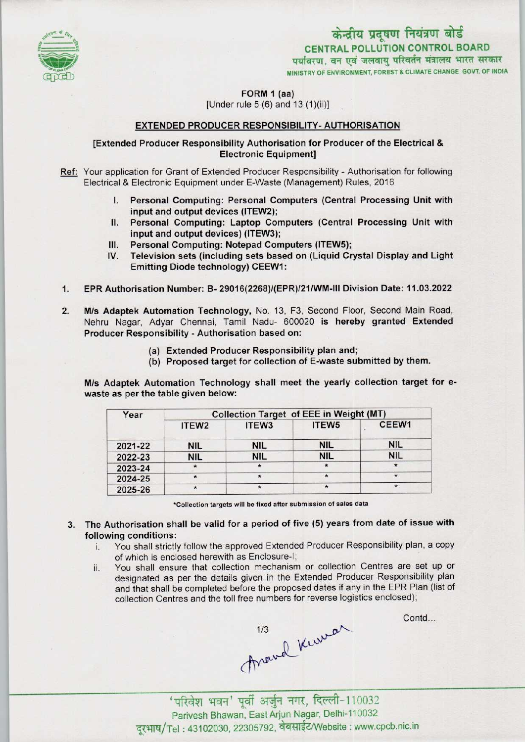

# CENTRAL POLLUTION CONTROL BOARD केन्द्रीय प्रदूषण नियंत्रण बोर्ड<br>CENTRAL POLLUTION CONTROL BOARD<br>पर्यावरण, वन एवं जलवाय परिवर्तन मंत्रालय भारत सरकार MINISTRY OF ENVIRONMENT, FOREST & CLIMATE CHANGE GOVT. OF INDIA

FORM 1 (aa)

 $[Under rule 5 (6) and 13 (1)(ii)]$ 

## EXTENDED PRODUCER RESPONSIBILITY-AUTHORISATION

#### [Extended Producer Responsibility Authorisation for Producer ofthe Electrical & Electronic Equipment]

- Ref: Your application for Grant of Extended Producer Responsibility Authorisation for following Electrical & Electronic Equipment under E-Waste (Management) Rules, 2016
	- I. Personal Computing: Personal Computers (Central Processing Unit with input and output devices (ITEW2);
	- El. Personal Computing: Laptop Computers (Central Processing Unit with input and output devices) (ITEW3);
	- III. Personal Computing: Notepad Computers (ITEW5);<br>IV. Television sets (including sets based on (Liquid Cr
	- Television sets (including sets based on (Liquid Crystal Display and Light Emitting Diode technology) CEEW1:
- 1.EPR Authorisation Number: B- 29016(2268)/(EPR)/21/WM-lll Division Date: 11.03.2022
- 2. M/s Adaptek Automation Technology, No. 13, F3, Second Floor, Second Main Road, Nehru Nagar, Adyar Chennai, Tamil Nadu- 600020 is hereby granted Extended Producer Responsibility - Authorisation based on:
	- (a)Extended Producer Responsibility plan and;
	- (b) Proposed target for collection of E-waste submitted by them.

M/s Adaptek Automation Technology shall meet the yearly collection target for ewaste as per the table given below:

| Year    | <b>Collection Target of EEE in Weight (MT)</b> |            |            |            |
|---------|------------------------------------------------|------------|------------|------------|
|         | ITEW <sub>2</sub>                              | ITEW3      | ITEW5      | CEEW1      |
| 2021-22 | <b>NIL</b>                                     | <b>NIL</b> | <b>NIL</b> | <b>NIL</b> |
| 2022-23 | <b>NIL</b>                                     | <b>NIL</b> | <b>NIL</b> | <b>NIL</b> |
| 2023-24 | $\star$                                        | $\star$    | $\star$    | $\star$    |
| 2024-25 | $\star$                                        | $\star$    | $\star$    | $\star$    |
| 2025-26 |                                                |            |            | $\star$    |

•Collection targets will be fixed after submission of sales data

- 3. The Authorisation shall be valid for a period of five (5) years from date of issue with following conditions:
	- i. You shall strictly follow the approved Extended Producer Responsibility plan, <sup>a</sup> copy of which is enclosed herewith as Enclosure-I;
	- ii. You shall ensure that collection mechanism or collection Centres are set up or designated as per the details given in the Extended Producer Responsibility plan and that shall be completed before the proposed dates if any in the EPR Plan (list of collection Centres and the toll free numbers for reverse logistics enclosed);

Around Kinnar

Contd...

'परिवेश भवन' पूर्वी अर्जुन नगर, दिल्ली-110032<br>Parivesh Bhawan, East Arjun Nagar, Delhi-110032 दूरभाष/Tel: 43102030, 22305792, वेबसाईट/Website: www.cpcb.nic.in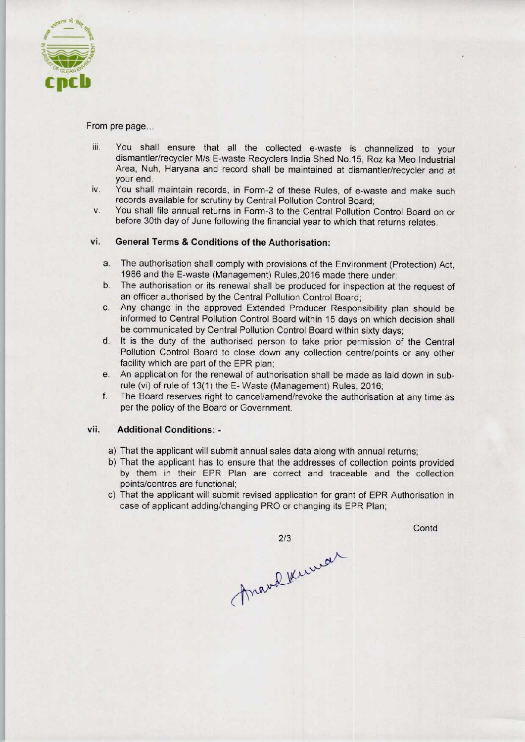

From pre page...

- iii. You shall ensure that all the collected e-waste is channelized to your dismantler/recycler M/s E-waste Recyclers India Shed No.15, Roz ka Meo Industrial Area, Nuh, Haryana and record shall be maintained at dismantler/recycler and at your end.
- iv. You shall maintain records, in Form-2 of these Rules, of e-waste and make such records available for scrutiny by Central Pollution Control Board:
- v. You shall file annual returns in Form-3 to the Central Pollution Control Board on or before 30th day of June following the financial year to which that returns relates.

## vi. General Terms & Conditions of the Authorisation:

- a. The authorisation shall comply with provisions of the Environment (Protection) Act, 1986 and the E-waste (Management) Rules,2016 made there under;
- b.The authorisation or its renewal shall be produced for inspection at the request of an officer authorised by the Central Pollution Control Board;
- c.Any change in the approved Extended Producer Responsibility plan should be informed to Central Pollution Control Board within 15 days on which decision shall be communicated by Central Pollution Control Board within sixty days;
- d. It is the duty of the authorised person to take prior permission of the Central Pollution Control Board to close down any collection centre/points or any other facility which are part of the EPR plan;
- e. An application for the renewal of authorisation shall be made as laid down in subrule (vi) of rule of 13(1) the E- Waste (Management) Rules, 2016;
- f. The Board reserves right to cancel/amend/revoke the authorisation at any time as per the policy of the Board or Government.

#### vii. Additional Conditions: -

- a) That the applicant will submit annual sales data along with annual returns;
- b)That the applicant has to ensure that the addresses of collection points provided by them in their EPR Plan are correct and traceable and the collection points/centres are functional;
- c) That the applicant will submit revised application for grant of EPR Authorisation in case of applicant adding/changing PRO or changing its EPR Plan;

**Contd** 

marchkenwar  $2/3$